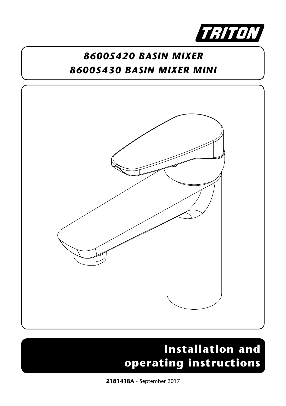

### *86005420 BASIN MIXER 86005430 BASIN MIXER MINI*



## **Installation and operating instructions**

**2181418A** - September 2017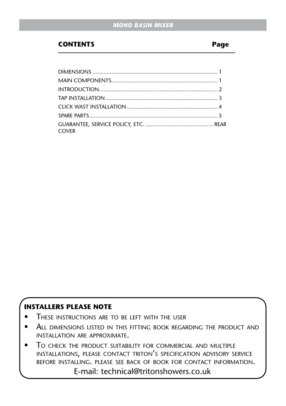#### **CONTENTS Page**

| <b>COVER</b> |  |
|--------------|--|

#### **INSTALLERS PLEASE NOTE**

- These instructions are to be left with the user
- ALL DIMENSIONS LISTED IN THIS FITTING BOOK REGARDING THE PRODUCT AND installation are approximate.
- TO CHECK THE PRODUCT SUITABILITY FOR COMMERCIAL AND MULTIPLE installations, please contact triton's specification advisory service before installing. please see back of book for contact information.

E-mail: technical@tritonshowers.co.uk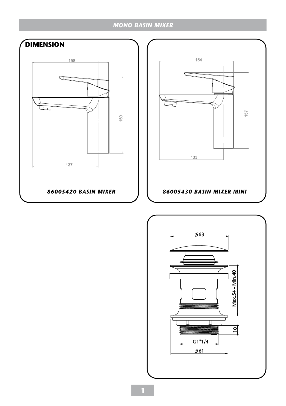

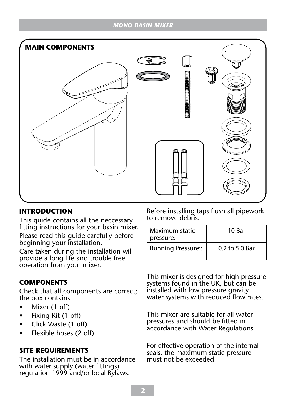

#### **INTRODUCTION**

This quide contains all the neccessary fitting instructions for your basin mixer.

Please read this guide carefully before beginning your installation.

Care taken during the installation will provide a long life and trouble free operation from your mixer.

#### **COMPONENTS**

Check that all components are correct; the box contains:

- Mixer (1 off)
- Fixing Kit (1 off)
- Click Waste (1 off)
- Flexible hoses (2 off)

#### **SITE REQUIREMENTS**

The installation must be in accordance with water supply (water fittings) regulation 1999 and/or local Bylaws.

Before installing taps flush all pipework to remove debris.

| l Maximum static<br>pressure: | 10 Bar         |
|-------------------------------|----------------|
| Running Pressure::            | 0.2 to 5.0 Bar |

This mixer is designed for high pressure systems found in the UK, but can be installed with low pressure gravity water systems with reduced flow rates.

This mixer are suitable for all water pressures and should be fitted in accordance with Water Regulations.

For effective operation of the internal seals, the maximum static pressure must not be exceeded.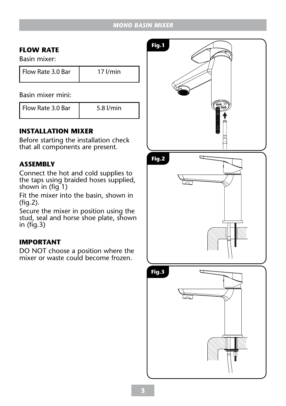#### **FLOW RATE**

Basin mixer:

| l Flow Rate 3.0 Bar | $17$ $l/min$ |
|---------------------|--------------|
|---------------------|--------------|

Basin mixer mini:

| l Flow Rate 3.0 Bar | 5.8 l/min |
|---------------------|-----------|
|                     |           |

#### **INSTALLATION MIXER**

Before starting the installation check that all components are present.

#### **ASSEMBLY**

Connect the hot and cold supplies to the taps using braided hoses supplied, shown in (fig 1)

Fit the mixer into the basin, shown in (fig.2).

Secure the mixer in position using the stud, seal and horse shoe plate, shown in (fig.3)

#### **IMPORTANT**

DO NOT choose a position where the mixer or waste could become frozen.

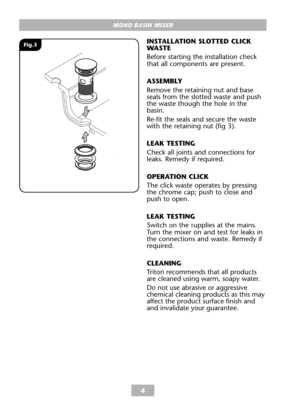

# **WASTE**

Before starting the installation check that all components are present.

#### **ASSEMBLY**

Remove the retaining nut and base seals from the slotted waste and push the waste though the hole in the basin.

Re-fit the seals and secure the waste with the retaining nut (fig 3).

#### **LEAK TESTING**

Check all joints and connections for leaks. Remedy if required.

#### **OPERATION CLICK**

The click waste operates by pressing the chrome cap; push to close and push to open.

#### **LEAK TESTING**

Switch on the supplies at the mains. 1Turn the mixer on and test for leaks in the connections and waste. Remedy if required.

#### **CLEANING**

Triton recommends that all products are cleaned using warm, soapy water.

Do not use abrasive or aggressive chemical cleaning products as this may affect the product surface finish and and invalidate your guarantee.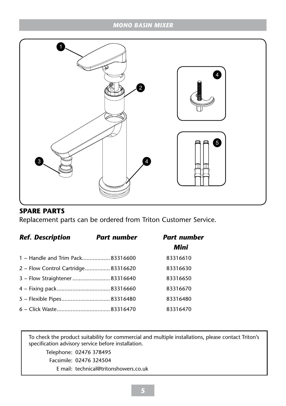

#### **SPARE PARTS**

Replacement parts can be ordered from Triton Customer Service.

| <b>Ref. Description</b>            | <b>Part number</b> | <b>Part number</b><br>Mini |
|------------------------------------|--------------------|----------------------------|
| 1 - Handle and Trim Pack 83316600  |                    | 83316610                   |
| 2 - Flow Control Cartridge83316620 |                    | 83316630                   |
| 3 - Flow Straightener 83316640     |                    | 83316650                   |
|                                    |                    | 83316670                   |
|                                    |                    | 83316480                   |
|                                    |                    | 83316470                   |

To check the product suitability for commercial and multiple installations, please contact Triton's specification advisory service before installation.

Telephone: 02476 378495 Facsimile: 02476 324504 E mail: technical@tritonshowers.co.uk